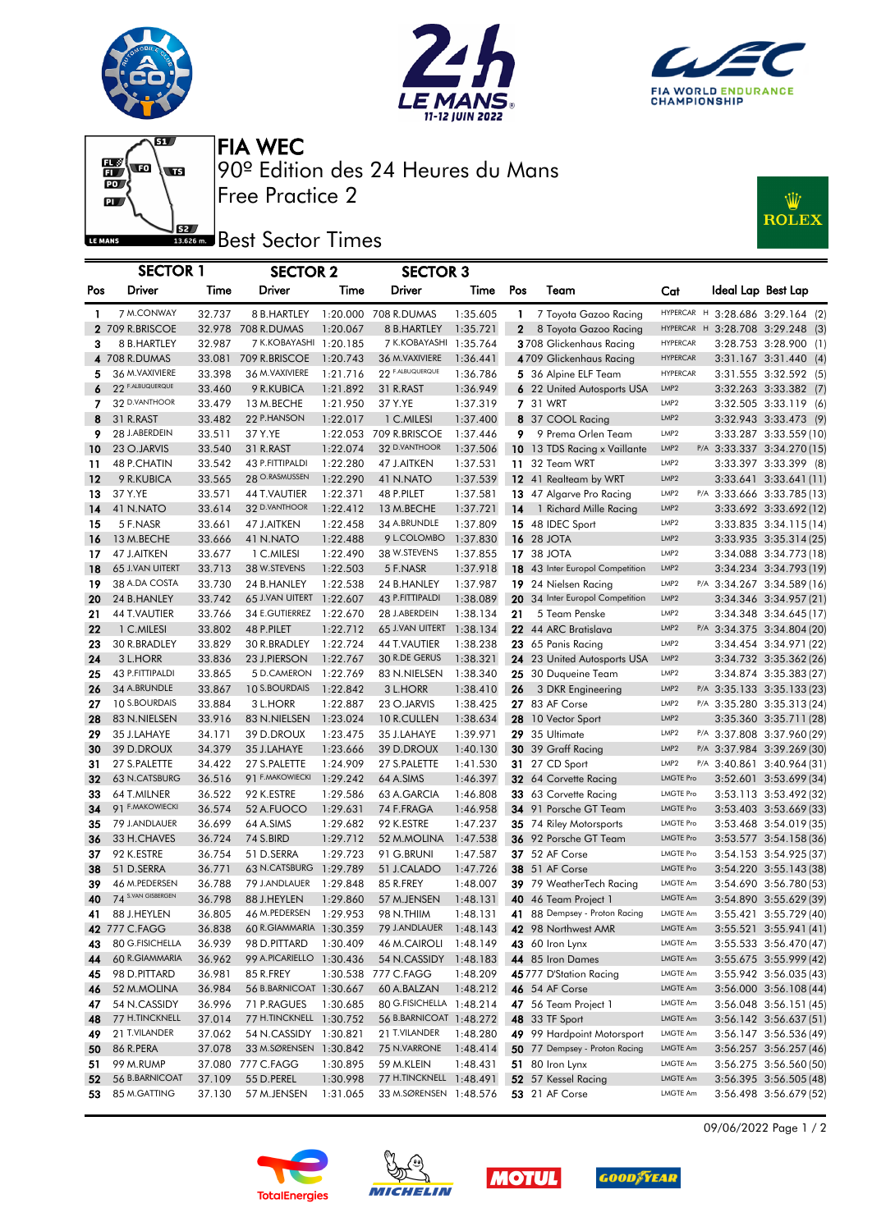







Free Practice 2 90º Edition des 24 Heures du Mans FIA WEC

## Best Sector Times

| :1117<br><b>ROLEX</b> |  |
|-----------------------|--|
|                       |  |

|          |                                |                  | <b>ENTRE DESIGNATION</b>             |          |                           |                      |              |                                               |                               |                                                  |
|----------|--------------------------------|------------------|--------------------------------------|----------|---------------------------|----------------------|--------------|-----------------------------------------------|-------------------------------|--------------------------------------------------|
|          | <b>SECTOR 1</b>                |                  | <b>SECTOR 2</b>                      |          | <b>SECTOR 3</b>           |                      |              |                                               |                               |                                                  |
| Pos      | Driver                         | Time             | Driver                               | Time     | Driver                    | Time                 | Pos          | Team                                          | Cat                           | Ideal Lap Best Lap                               |
| 1        | 7 M.CONWAY                     | 32.737           | 8 B.HARTLEY                          |          | 1:20.000 708 R.DUMAS      | 1:35.605             | $\mathbf{1}$ | 7 Toyota Gazoo Racing                         |                               | HYPERCAR H 3:28.686 3:29.164 (2)                 |
|          | 2 709 R.BRISCOE                |                  | 32.978 708 R.DUMAS                   | 1:20.067 | 8 B.HARTLEY               | 1:35.721             | $\mathbf{2}$ | 8 Toyota Gazoo Racing                         |                               | HYPERCAR H 3:28.708 3:29.248 (3)                 |
| 3        | 8 B.HARTLEY                    | 32.987           | 7 K.KOBAYASHI 1:20.185               |          | 7 K.KOBAYASHI 1:35.764    |                      |              | 3708 Glickenhaus Racing                       | HYPERCAR                      | 3:28.753 3:28.900 (1)                            |
|          | 4 708 R.DUMAS                  |                  | 33.081 709 R.BRISCOE                 | 1:20.743 | 36 M. VAXIVIERE           | 1:36.441             |              | 4709 Glickenhaus Racing                       | <b>HYPERCAR</b>               | 3:31.167 3:31.440 (4)                            |
| 5        | 36 M. VAXIVIERE                | 33.398           | 36 M.VAXIVIERE                       | 1:21.716 | 22 F.ALBUQUERQUE          | 1:36.786             |              | 5 36 Alpine ELF Team                          | HYPERCAR                      | 3:31.555 3:32.592 (5)                            |
| 6        | 22 F.ALBUQUERQUE               | 33.460           | 9 R.KUBICA                           | 1:21.892 | 31 R.RAST                 | 1:36.949             |              | 6 22 United Autosports USA                    | LMP <sub>2</sub>              | 3:32.263 3:33.382 (7)                            |
| 7        | 32 D.VANTHOOR                  | 33.479           | 13 M.BECHE                           | 1:21.950 | 37 Y.YE                   | 1:37.319             |              | <b>7</b> 31 WRT                               | LMP <sub>2</sub>              | 3:32.505 3:33.119 (6)                            |
| 8        | 31 R.RAST                      | 33.482           | 22 P.HANSON                          | 1:22.017 | 1 C.MILESI                | 1:37.400             |              | 8 37 COOL Racing                              | LMP <sub>2</sub>              | 3:32.943 3:33.473 (9)                            |
| 9        | 28 J.ABERDEIN                  | 33.511           | 37 Y.YE                              | 1:22.053 | 709 R.BRISCOE             | 1:37.446             | 9.           | 9 Prema Orlen Team                            | LMP2                          | 3:33.287 3:33.559 (10)                           |
| 10       | 23 O.JARVIS                    | 33.540           | 31 R.RAST                            | 1:22.074 | 32 D.VANTHOOR             | 1:37.506             |              | 10 13 TDS Racing x Vaillante                  | LMP <sub>2</sub>              | P/A 3:33.337 3:34.270 (15)                       |
| 11       | 48 P.CHATIN                    | 33.542           | 43 P.FITTIPALDI                      | 1:22.280 | 47 J.AITKEN               | 1:37.531             |              | 11 32 Team WRT                                | LMP2                          | 3:33.397 3:33.399 (8)                            |
| 12       | 9 R.KUBICA                     | 33.565           | 28 O.RASMUSSEN                       | 1:22.290 | 41 N.NATO                 | 1:37.539             |              | 12 41 Realteam by WRT                         | LMP2                          | 3:33.641 3:33.641 (11)                           |
| 13       | 37 Y.YE                        | 33.571           | 44 T.VAUTIER                         | 1:22.371 | 48 P.PILET                | 1:37.581             |              | 13 47 Algarve Pro Racing                      | LMP2                          | P/A 3:33.666 3:33.785 (13)                       |
| 14       | 41 N.NATO                      | 33.614           | 32 D.VANTHOOR                        | 1:22.412 | 13 M.BECHE                | 1:37.721             | 14           | 1 Richard Mille Racing                        | LMP2                          | 3:33.692 3:33.692 (12)                           |
| 15       | 5 F.NASR                       | 33.661           | 47 J.AITKEN                          | 1:22.458 | 34 A.BRUNDLE              | 1:37.809             |              | 15 48 IDEC Sport                              | LMP <sub>2</sub>              | 3:33.835 3:34.115 (14)                           |
| 16       | 13 M.BECHE                     | 33.666           | 41 N.NATO                            | 1:22.488 | 9 L.COLOMBO               | 1:37.830             |              | <b>16</b> 28 JOTA                             | LMP <sub>2</sub>              | 3:33.935 3:35.314 (25)                           |
| 17       | 47 J.AITKEN                    | 33.677           | 1 C.MILESI                           | 1:22.490 | 38 W.STEVENS              | 1:37.855             |              | <b>17 38 JOTA</b>                             | LMP <sub>2</sub>              | 3:34.088 3:34.773 (18)                           |
| 18       | 65 J.VAN UITERT                | 33.713           | 38 W.STEVENS                         | 1:22.503 | 5 F.NASR                  | 1:37.918             |              | 18 43 Inter Europol Competition               | LMP2                          | 3:34.234 3:34.793 (19)                           |
| 19       | 38 A.DA COSTA                  | 33.730           | 24 B.HANLEY                          | 1:22.538 | 24 B.HANLEY               | 1:37.987             |              | 19 24 Nielsen Racing                          | LMP2                          | P/A 3:34.267 3:34.589 (16)                       |
| 20       | 24 B.HANLEY                    | 33.742           | 65 J.VAN UITERT 1:22.607             |          | 43 P.FITTIPALDI           | 1:38.089             |              | 20 34 Inter Europol Competition               | LMP <sub>2</sub>              | 3:34.346 3:34.957 (21)                           |
| 21       | 44 T.VAUTIER                   | 33.766           | 34 E.GUTIERREZ                       | 1:22.670 | 28 J.ABERDEIN             | 1:38.134             | 21           | 5 Team Penske                                 | LMP2                          | 3:34.348 3:34.645 (17)                           |
| 22       | 1 C.MILESI                     | 33.802           | 48 P.PILET                           | 1:22.712 | 65 J.VAN UITERT           | 1:38.134             |              | 22 44 ARC Bratislava                          | LMP <sub>2</sub>              | P/A 3:34.375 3:34.804 (20)                       |
| 23       | 30 R.BRADLEY                   | 33.829           | 30 R.BRADLEY                         | 1:22.724 | 44 T.VAUTIER              | 1:38.238             |              | 23 65 Panis Racing                            | LMP2                          | 3:34.454 3:34.971 (22)                           |
| 24       | 3 L.HORR                       | 33.836           | 23 J.PIERSON                         | 1:22.767 | 30 R.DE GERUS             | 1:38.321             |              | 24 23 United Autosports USA                   | LMP <sub>2</sub>              | 3:34.732 3:35.362 (26)                           |
| 25       | 43 P.FITTIPALDI                | 33.865           | 5 D.CAMERON                          | 1:22.769 | 83 N.NIELSEN              | 1:38.340             |              | 25 30 Duqueine Team                           | LMP2                          | 3:34.874 3:35.383 (27)                           |
| 26       | 34 A.BRUNDLE                   | 33.867           | 10 S.BOURDAIS                        | 1:22.842 | 3 L.HORR                  | 1:38.410             | 26           | 3 DKR Engineering                             | LMP <sub>2</sub>              | P/A 3:35.133 3:35.133 (23)                       |
| 27       | 10 S.BOURDAIS                  | 33.884           | 3 L.HORR                             | 1:22.887 | 23 O.JARVIS               | 1:38.425             |              | 27 83 AF Corse                                | LMP2                          | P/A 3:35.280 3:35.313 (24)                       |
| 28       | 83 N.NIELSEN                   | 33.916           | 83 N.NIELSEN                         | 1:23.024 | 10 R.CULLEN               | 1:38.634             |              | 28 10 Vector Sport                            | LMP <sub>2</sub>              | 3:35.360 3:35.711 (28)                           |
| 29       | 35 J.LAHAYE                    | 34.171           | 39 D.DROUX                           | 1:23.475 | 35 J.LAHAYE               | 1:39.971             |              | 29 35 Ultimate                                | LMP <sub>2</sub>              | P/A 3:37.808 3:37.960 (29)                       |
| 30       | 39 D.DROUX                     | 34.379           | 35 J.LAHAYE                          | 1:23.666 | 39 D.DROUX                | 1:40.130             |              | 30 39 Graff Racing                            | LMP <sub>2</sub>              | P/A 3:37.984 3:39.269 (30)                       |
| 31       | 27 S.PALETTE                   | 34.422           | 27 S.PALETTE                         | 1:24.909 | 27 S.PALETTE              | 1:41.530             |              | <b>31</b> 27 CD Sport                         | LMP <sub>2</sub>              | P/A 3:40.861 3:40.964 (31)                       |
| 32       | 63 N.CATSBURG                  | 36.516           | 91 F.MAKOWIECKI                      | 1:29.242 | 64 A.SIMS                 | 1:46.397             |              | 32 64 Corvette Racing                         | <b>LMGTE Pro</b>              | 3:52.601 3:53.699 (34)                           |
| 33       | 64 T.MILNER<br>91 F.MAKOWIECKI | 36.522           | 92 K.ESTRE                           | 1:29.586 | 63 A.GARCIA               | 1:46.808             |              | 33 63 Corvette Racing                         | LMGTE Pro<br><b>LMGTE Pro</b> | 3:53.113 3:53.492 (32)                           |
| 34       |                                | 36.574           | 52 A.FUOCO                           | 1:29.631 | 74 F.FRAGA                | 1:46.958             |              | 34 91 Porsche GT Team                         |                               | 3:53.403 3:53.669 (33)                           |
| 35       | 79 J.ANDLAUER                  | 36.699           | 64 A.SIMS                            | 1:29.682 | 92 K.ESTRE                | 1:47.237             |              | <b>35</b> 74 Riley Motorsports                | LMGTE Pro<br>LMGTE Pro        | 3:53.468 3:54.019 (35)                           |
| 36       | 33 H.CHAVES                    | 36.724           | 74 S.BIRD                            | 1:29.712 | 52 M.MOLINA<br>91 G.BRUNI | 1:47.538             |              | 36 92 Porsche GT Team<br>37 52 AF Corse       | LMGTE Pro                     | 3:53.577 3:54.158 (36)                           |
| 37<br>38 | 92 K.ESTRE<br>51 D.SERRA       | 36.754<br>36.771 | 51 D.SERRA<br>63 N.CATSBURG 1:29.789 | 1:29.723 | 51 J.CALADO               | 1:47.587<br>1:47.726 |              | <b>38</b> 51 AF Corse                         | <b>LMGTE Pro</b>              | 3:54.153 3:54.925 (37)<br>3:54.220 3:55.143 (38) |
| 39       | 46 M.PEDERSEN                  | 36.788           | 79 J.ANDLAUER 1:29.848               |          | 85 R.FREY                 | 1:48.007             |              | 39 79 WeatherTech Racing                      | LMGTE Am                      | 3:54.690 3:56.780 (53)                           |
| 40       | 74 S.VAN GISBERGEN             | 36.798           | 88 J.HEYLEN  1:29.860                |          |                           |                      |              | 57 M.JENSEN  1:48.131  40  46  Team Project 1 | LMGTE Am                      | 3:54.890 3:55.629 (39)                           |
| 41       | 88 J.HEYLEN                    | 36.805           | 46 M.PEDERSEN 1:29.953               |          | 98 N.THIIM                | 1:48.131             |              | 41 88 Dempsey - Proton Racing                 | LMGTE Am                      | 3:55.421 3:55.729 (40)                           |
|          | 42 777 C.FAGG                  | 36.838           | 60 R.GIAMMARIA 1:30.359              |          | 79 J.ANDLAUER             | 1:48.143             |              | 42 98 Northwest AMR                           | LMGTE Am                      | 3:55.521 3:55.941 (41)                           |
| 43       | 80 G.FISICHELLA                | 36.939           | 98 D.PITTARD                         | 1:30.409 | 46 M.CAIROLI              | 1:48.149             |              | 43 60 Iron Lynx                               | LMGTE Am                      | 3:55.533 3:56.470 (47)                           |
| 44       | 60 R.GIAMMARIA                 | 36.962           | 99 A.PICARIELLO 1:30.436             |          | 54 N.CASSIDY              | 1:48.183             |              | 44 85 Iron Dames                              | LMGTE Am                      | 3:55.675 3:55.999 (42)                           |
| 45       | 98 D.PITTARD                   | 36.981           | 85 R.FREY                            |          | 1:30.538 777 C.FAGG       | 1:48.209             |              | 45 777 D'Station Racing                       | LMGTE Am                      | 3:55.942 3:56.035 (43)                           |
| 46       | 52 M.MOLINA                    | 36.984           | 56 B.BARNICOAT 1:30.667              |          | 60 A.BALZAN               | 1:48.212             |              | <b>46</b> 54 AF Corse                         | <b>LMGTE Am</b>               | 3:56.000 3:56.108 (44)                           |
| 47       | 54 N.CASSIDY                   | 36.996           | 71 P.RAGUES                          | 1:30.685 | 80 G.FISICHELLA 1:48.214  |                      |              | 47 56 Team Project 1                          | LMGTE Am                      | $3:56.048$ $3:56.151(45)$                        |
| 48       | 77 H.TINCKNELL                 | 37.014           | 77 H.TINCKNELL 1:30.752              |          | 56 B.BARNICOAT 1:48.272   |                      |              | <b>48</b> 33 TF Sport                         | LMGTE Am                      | 3:56.142 3:56.637 (51)                           |
| 49       | 21 T.VILANDER                  | 37.062           | 54 N.CASSIDY 1:30.821                |          | 21 T.VILANDER             | 1:48.280             |              | 49 99 Hardpoint Motorsport                    | LMGTE Am                      | 3:56.147 3:56.536 (49)                           |
| 50       | 86 R.PERA                      | 37.078           | 33 M.SØRENSEN 1:30.842               |          | 75 N.VARRONE              | 1:48.414             |              | 50 77 Dempsey - Proton Racing                 | LMGTE Am                      | 3:56.257 3:56.257 (46)                           |
| 51       | 99 M.RUMP                      |                  | 37.080 777 C.FAGG                    | 1:30.895 | 59 M.KLEIN                | 1:48.431             |              | 51 80 Iron Lynx                               | LMGTE Am                      | 3:56.275 3:56.560 (50)                           |
| 52       | 56 B.BARNICOAT                 | 37.109           | 55 D.PEREL                           | 1:30.998 | 77 H.TINCKNELL 1:48.491   |                      |              | 52 57 Kessel Racing                           | LMGTE Am                      | 3:56.395 3:56.505 (48)                           |
| 53       | 85 M.GATTING                   | 37.130           | 57 M.JENSEN                          | 1:31.065 | 33 M.SØRENSEN 1:48.576    |                      |              | <b>53</b> 21 AF Corse                         | <b>LMGTE Am</b>               | 3:56.498 3:56.679 (52)                           |
|          |                                |                  |                                      |          |                           |                      |              |                                               |                               |                                                  |









09/06/2022 Page 1 / 2